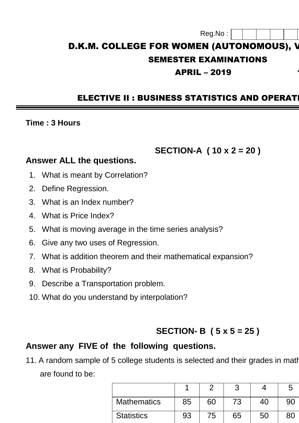# Reg.No: D.K.M. COLLEGE FOR WOMEN (AUTONOMOUS), V SEMESTER EXAMINATIONS  $APRIL - 2019$

### **ELECTIVE II: BUSINESS STATISTICS AND OPERAT**

**Time : 3 Hours** 

#### **SECTION-A ( 10 x 2 = 20 )**

#### **Answer ALL the questions.**

- 1. What is meant by Correlation?
- 2. Define Regression.
- 3. What is an Index number?
- 4. What is Price Index?
- 5. What is moving average in the time series analysis?
- 6. Give any two uses of Regression.
- 7. What is addition theorem and their mathematical expansion?
- 8. What is Probability?
- 9. Describe a Transportation problem.
- 10. What do you understand by interpolation?

## **SECTION- B ( 5 x 5 = 25 )**

### **Answer any FIVE of the following questions.**

11. A random sample of 5 college students is selected and their grades in math are found to be:

| <b>Mathematics</b> | 85 | 60 | 73 | 40 | 90 |
|--------------------|----|----|----|----|----|
| <b>Statistics</b>  | 93 | 75 | 65 | 50 |    |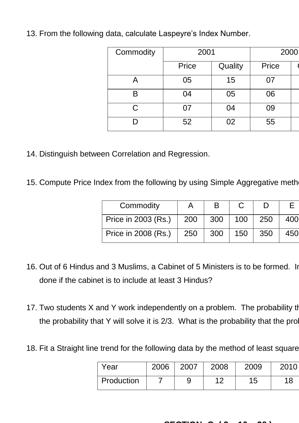| Commodity | 2001             | 2000 |              |  |
|-----------|------------------|------|--------------|--|
|           | Price<br>Quality |      | <b>Price</b> |  |
|           | 05               | 15   |              |  |
| B         | 04               | 05   | 06           |  |
| C         | 07               | 04   | 09           |  |
|           | 52               | 02   | 55           |  |

13. From the following data, calculate Laspeyre's Index Number.

- 14. Distinguish between Correlation and Regression.
- 15. Compute Price Index from the following by using Simple Aggregative meth

| Commodity           |                                                             | B   |     |     | ⊢   |
|---------------------|-------------------------------------------------------------|-----|-----|-----|-----|
| Price in 2003 (Rs.) | $\begin{array}{c} \begin{array}{c} \end{array} \end{array}$ | 300 | 100 | 250 | 400 |
| Price in 2008 (Rs.) | 250                                                         | 300 | 150 | 350 | 450 |

- 16. Out of 6 Hindus and 3 Muslims, a Cabinet of 5 Ministers is to be formed. In done if the cabinet is to include at least 3 Hindus?
- 17. Two students X and Y work independently on a problem. The probability that X and X work independent it and the probability that Y will solve it is 2/3. What is the probability that the pro
- 18. Fit a Straight line trend for the following data by the method of least square.

| Year       | 2006 | 2007 | 2008 | 2009 | 2010 |
|------------|------|------|------|------|------|
| Production |      |      | 10   | 15   | 18   |

#### **SECTION- C ( 3 x 10 = 30 )**